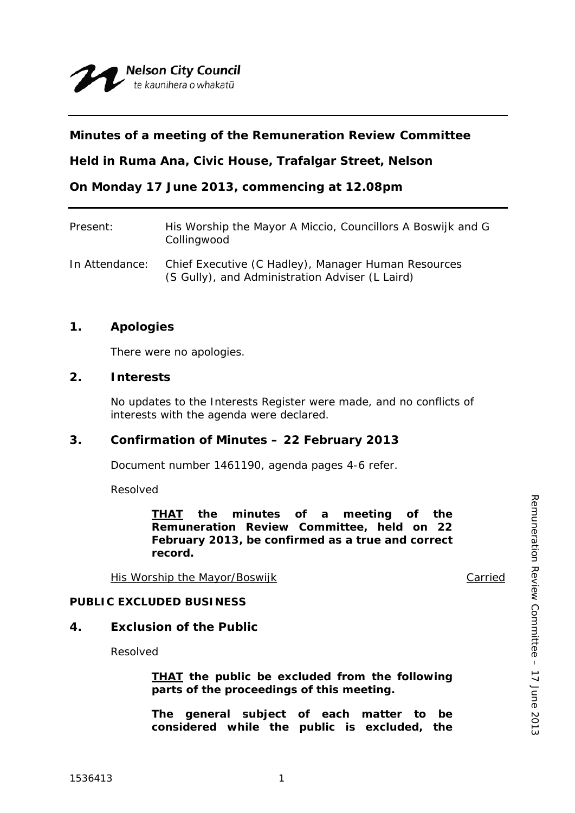# **Minutes of a meeting of the Remuneration Review Committee**

**Held in Ruma Ana, Civic House, Trafalgar Street, Nelson** 

**On Monday 17 June 2013, commencing at 12.08pm** 

| Present:       | His Worship the Mayor A Miccio, Councillors A Boswijk and G<br>Collingwood                             |
|----------------|--------------------------------------------------------------------------------------------------------|
| In Attendance: | Chief Executive (C Hadley), Manager Human Resources<br>(S Gully), and Administration Adviser (L Laird) |

### **1. Apologies**

There were no apologies.

### **2. Interests**

No updates to the Interests Register were made, and no conflicts of interests with the agenda were declared.

### **3. Confirmation of Minutes – 22 February 2013**

Document number 1461190, agenda pages 4-6 refer.

Resolved

*THAT the minutes of a meeting of the Remuneration Review Committee, held on 22 February 2013, be confirmed as a true and correct record.* 

His Worship the Mayor/Boswijk Carried

Remuneration Review Committee – 17 June 2013

Remuneration Review Committee - 17 June 2013

### **PUBLIC EXCLUDED BUSINESS**

### **4. Exclusion of the Public**

Resolved

*THAT the public be excluded from the following parts of the proceedings of this meeting.* 

*The general subject of each matter to be considered while the public is excluded, the*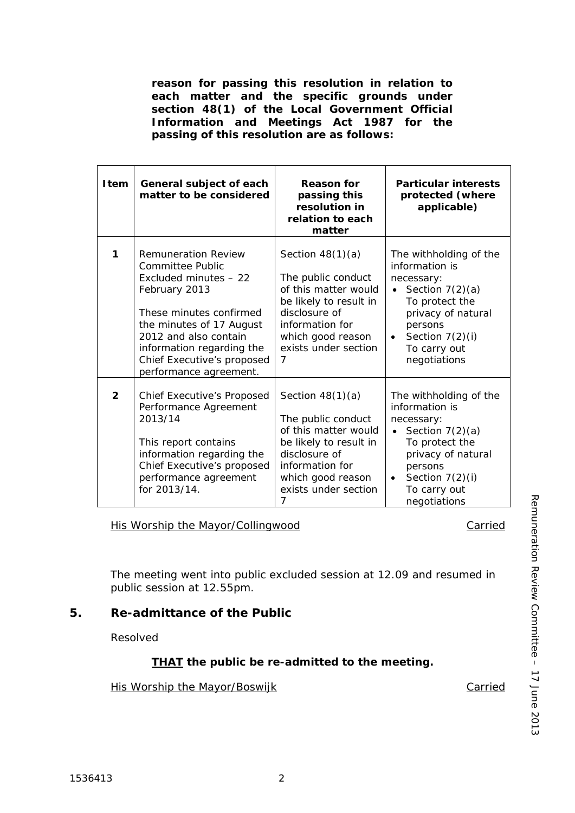*reason for passing this resolution in relation to each matter and the specific grounds under section 48(1) of the Local Government Official Information and Meetings Act 1987 for the passing of this resolution are as follows:* 

| <b>I</b> tem   | General subject of each<br>matter to be considered                                                                                                                                                                                                            | <b>Reason for</b><br>passing this<br>resolution in<br>relation to each<br>matter                                                                                                 | <b>Particular interests</b><br>protected (where<br>applicable)                                                                                                                                   |
|----------------|---------------------------------------------------------------------------------------------------------------------------------------------------------------------------------------------------------------------------------------------------------------|----------------------------------------------------------------------------------------------------------------------------------------------------------------------------------|--------------------------------------------------------------------------------------------------------------------------------------------------------------------------------------------------|
| 1              | <b>Remuneration Review</b><br>Committee Public<br>Excluded minutes - 22<br>February 2013<br>These minutes confirmed<br>the minutes of 17 August<br>2012 and also contain<br>information regarding the<br>Chief Executive's proposed<br>performance agreement. | Section $48(1)(a)$<br>The public conduct<br>of this matter would<br>be likely to result in<br>disclosure of<br>information for<br>which good reason<br>exists under section<br>7 | The withholding of the<br>information is<br>necessary:<br>Section $7(2)(a)$<br>To protect the<br>privacy of natural<br>persons<br>Section $7(2)(i)$<br>$\bullet$<br>To carry out<br>negotiations |
| $\overline{2}$ | Chief Executive's Proposed<br>Performance Agreement<br>2013/14<br>This report contains<br>information regarding the<br>Chief Executive's proposed<br>performance agreement<br>for 2013/14.                                                                    | Section $48(1)(a)$<br>The public conduct<br>of this matter would<br>be likely to result in<br>disclosure of<br>information for<br>which good reason<br>exists under section<br>7 | The withholding of the<br>information is<br>necessary:<br>Section $7(2)(a)$<br>To protect the<br>privacy of natural<br>persons<br>Section $7(2)(i)$<br>$\bullet$<br>To carry out<br>negotiations |

#### His Worship the Mayor/Collingwood Carried

The meeting went into public excluded session at 12.09 and resumed in public session at 12.55pm.

# **5. Re-admittance of the Public**

Resolved

# *THAT the public be re-admitted to the meeting.*

#### His Worship the Mayor/Boswijk Carried